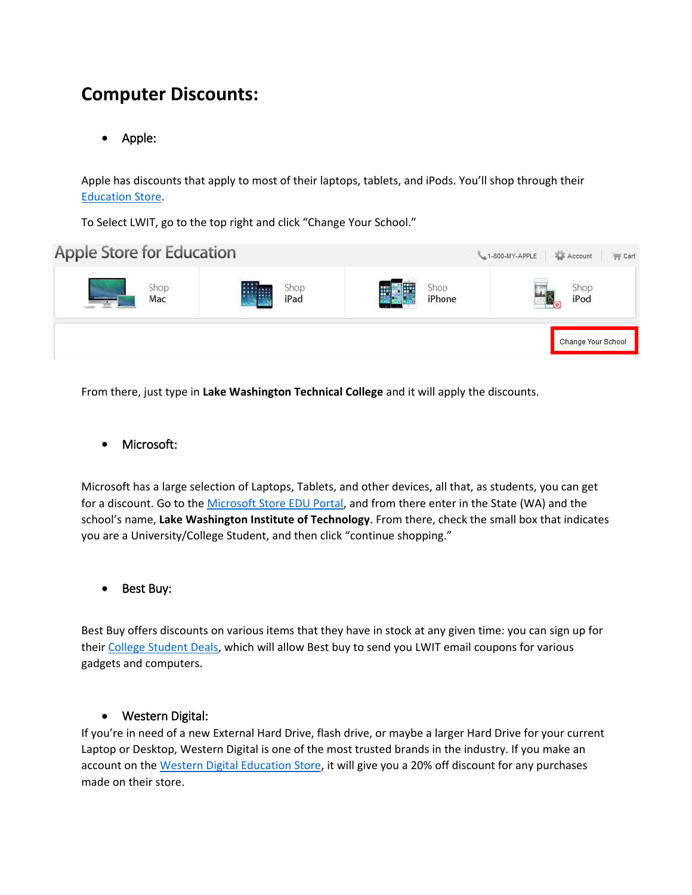# **Computer Discounts:**

Apple:

Apple has discounts that apply to most of their laptops, tablets, and iPods. You'll shop through their [Education Store.](http://store.apple.com/us-hed)

To Select LWIT, go to the top right and click "Change Your School."



From there, just type in **Lake Washington Technical College** and it will apply the discounts.

Microsoft:

Microsoft has a large selection of Laptops, Tablets, and other devices, all that, as students, you can get for a discount. Go to the [Microsoft Store EDU Portal,](http://www.microsoftstore.com/store/msusa/en_US/edu) and from there enter in the State (WA) and the school's name, **Lake Washington Institute of Technology**. From there, check the small box that indicates you are a University/College Student, and then click "continue shopping."

Best Buy:

Best Buy offers discounts on various items that they have in stock at any given time: you can sign up for their [College Student Deals,](http://www.bestbuy.com/site/Global/College-Student-Deals/pcmcat276200050000.c?id=pcmcat276200050000) which will allow Best buy to send you LWIT email coupons for various gadgets and computers.

### Western Digital:

If you're in need of a new External Hard Drive, flash drive, or maybe a larger Hard Drive for your current Laptop or Desktop, Western Digital is one of the most trusted brands in the industry. If you make an account on th[e Western Digital Education Store,](http://store.westerndigital.com/store/wdus/en_US/DisplayActivatePurchasePlanPage/themeID.30663100/purchasePlanID.11107600) it will give you a 20% off discount for any purchases made on their store.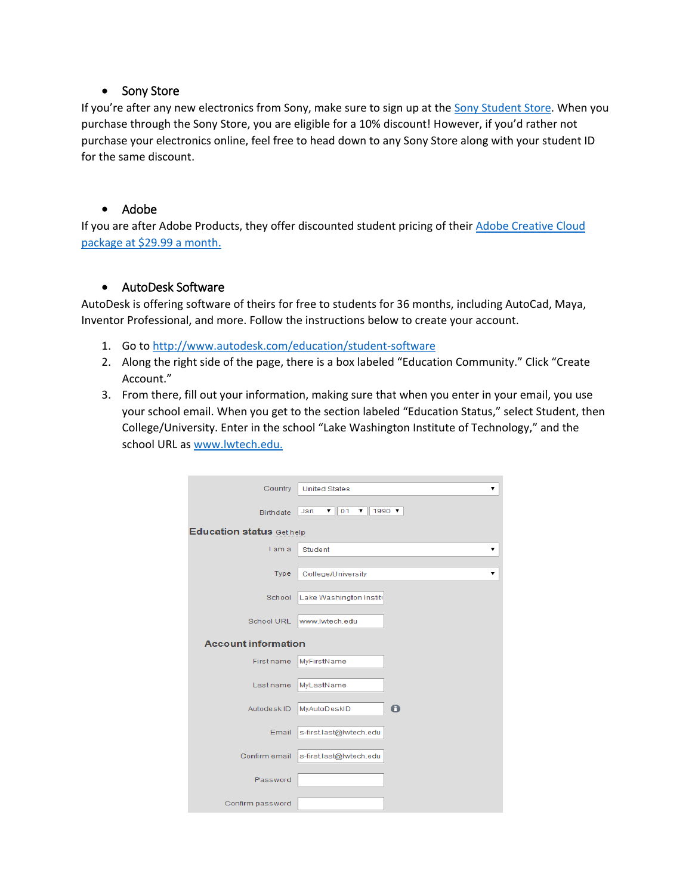## • Sony Store

If you're after any new electronics from Sony, make sure to sign up at the [Sony Student Store.](http://store.sony.com/gsi/webstore/WFS/SNYNA-SNYUS-Site/en_US/-/USD/ViewPurchasePrograms-EDULandingPage) When you purchase through the Sony Store, you are eligible for a 10% discount! However, if you'd rather not purchase your electronics online, feel free to head down to any Sony Store along with your student ID for the same discount.

## • Adobe

If you are after Adobe Products, they offer discounted student pricing of their [Adobe Creative Cloud](http://www.adobe.com/education/students.edu.html?showEduReq=no&PID=7103042)  [package at \\$29.99 a month.](http://www.adobe.com/education/students.edu.html?showEduReq=no&PID=7103042)

## AutoDesk Software

AutoDesk is offering software of theirs for free to students for 36 months, including AutoCad, Maya, Inventor Professional, and more. Follow the instructions below to create your account.

- 1. Go to<http://www.autodesk.com/education/student-software>
- 2. Along the right side of the page, there is a box labeled "Education Community." Click "Create Account."
- 3. From there, fill out your information, making sure that when you enter in your email, you use your school email. When you get to the section labeled "Education Status," select Student, then College/University. Enter in the school "Lake Washington Institute of Technology," and the school URL a[s www.lwtech.edu.](http://www.lwtech.edu./)

| Country                          | <b>United States</b>                                  | ▼         |
|----------------------------------|-------------------------------------------------------|-----------|
| <b>Birthdate</b>                 | $\mathbf{v}$ 01 $\mathbf{v}$ 1990 $\mathbf{v}$<br>Jan |           |
| <b>Education status Get help</b> |                                                       |           |
| I am a                           | Student                                               | ▼         |
| <b>Type</b>                      | College/University                                    | ▼         |
| School                           | Lake Washington Instite                               |           |
| School URL                       | www.lwtech.edu                                        |           |
| <b>Account information</b>       |                                                       |           |
| First name                       | MyFirstName                                           |           |
| Last name                        | MyLastName                                            |           |
| Autodesk ID                      | MyAutoDeskID                                          | $\bullet$ |
| Email                            | s-first.last@lwtech.edu                               |           |
| Confirm email                    | s-first.last@lwtech.edu                               |           |
| Password                         |                                                       |           |
| Confirm password                 |                                                       |           |